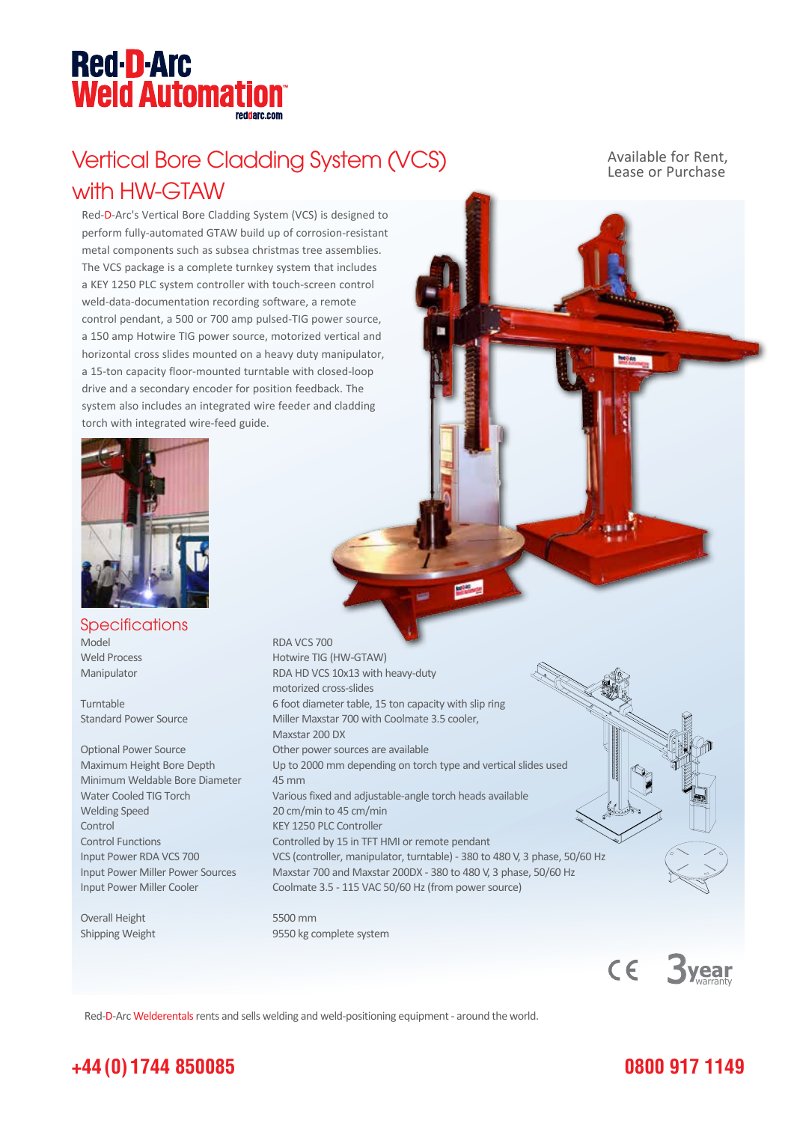## **Red-D-Arc Weld Automation®**

### Vertical Bore Cladding System (VCS) with HW-GTAW

Red-D-Arc's Vertical Bore Cladding System (VCS) is designed to perform fully-automated GTAW build up of corrosion-resistant metal components such as subsea christmas tree assemblies. The VCS package is a complete turnkey system that includes a KEY 1250 PLC system controller with touch-screen control weld-data-documentation recording software, a remote control pendant, a 500 or 700 amp pulsed-TIG power source, a 150 amp Hotwire TIG power source, motorized vertical and horizontal cross slides mounted on a heavy duty manipulator, a 15-ton capacity floor-mounted turntable with closed-loop drive and a secondary encoder for position feedback. The system also includes an integrated wire feeder and cladding torch with integrated wire-feed guide.



**Specifications** Model RDA VCS 700

Minimum Weldable Bore Diameter 45 mm Welding Speed 20 cm/min to 45 cm/min Control KEY 1250 PLC Controller

Overall Height 5500 mm

Weld Process Hotwire TIG (HW-GTAW) Manipulator RDA HD VCS 10x13 with heavy-duty motorized cross-slides Turntable 6 foot diameter table, 15 ton capacity with slip ring Standard Power Source Miller Maxstar 700 with Coolmate 3.5 cooler, Maxstar 200 DX Optional Power Source **Other power sources are available** Maximum Height Bore Depth Up to 2000 mm depending on torch type and vertical slides used Water Cooled TIG Torch Various fixed and adjustable-angle torch heads available Control Functions Controlled by 15 in TFT HMI or remote pendant Input Power RDA VCS 700 VCS (controller, manipulator, turntable) - 380 to 480 V, 3 phase, 50/60 Hz Input Power Miller Power Sources Maxstar 700 and Maxstar 200DX - 380 to 480 V, 3 phase, 50/60 Hz Input Power Miller Cooler Coolmate 3.5 - 115 VAC 50/60 Hz (from power source)

Shipping Weight 9550 kg complete system

Red-D-Arc Welderentals rents and sells welding and weld-positioning equipment - around the world.

Available for Rent, Lease or Purchase

#### **0800 917 1149**

 $C \in$ 

vear

#### **+44 (0) 1744 850085**